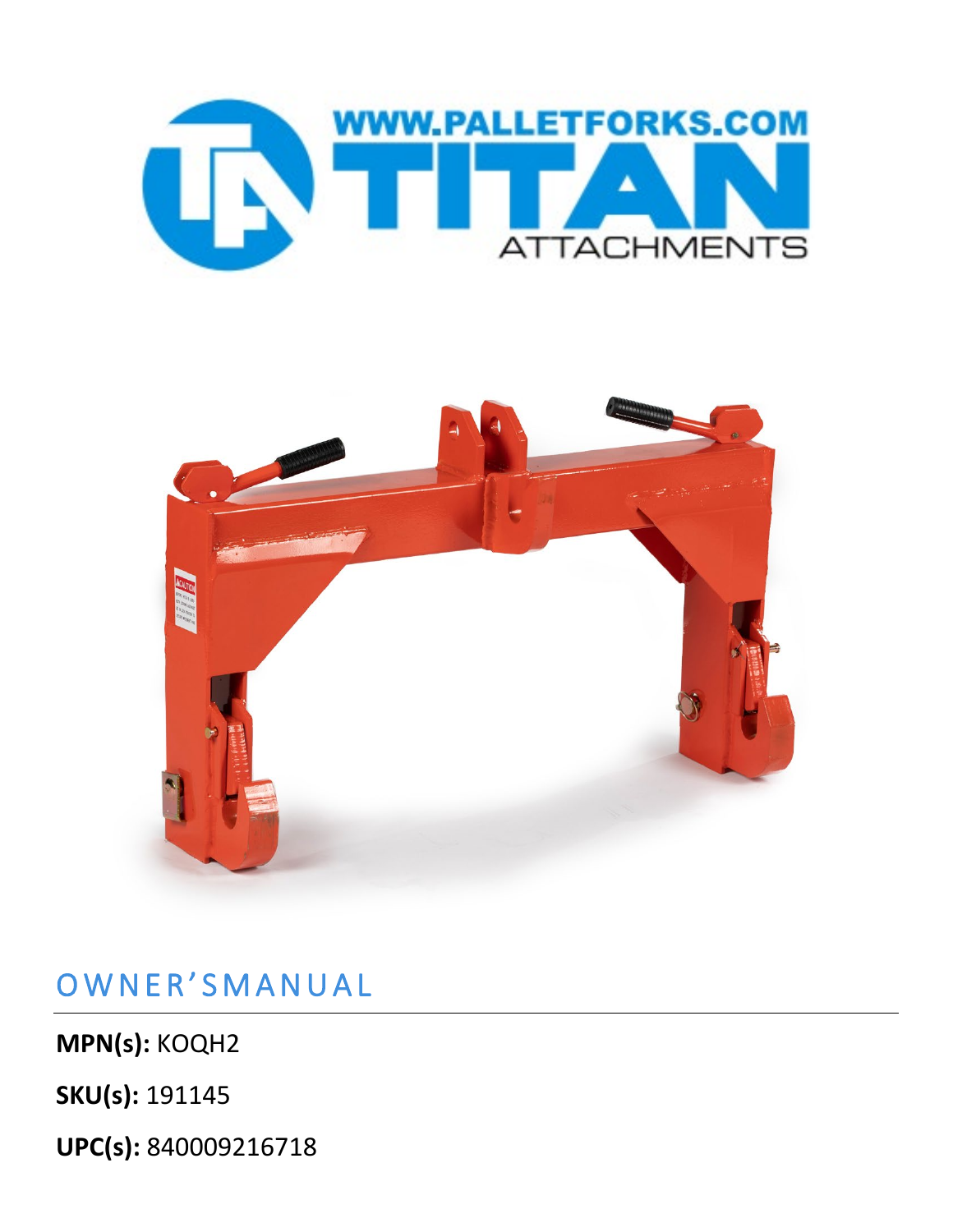



# OWNER'SMANUAL

**MPN(s):** KOQH2

**SKU(s):** 191145

**UPC(s):** 840009216718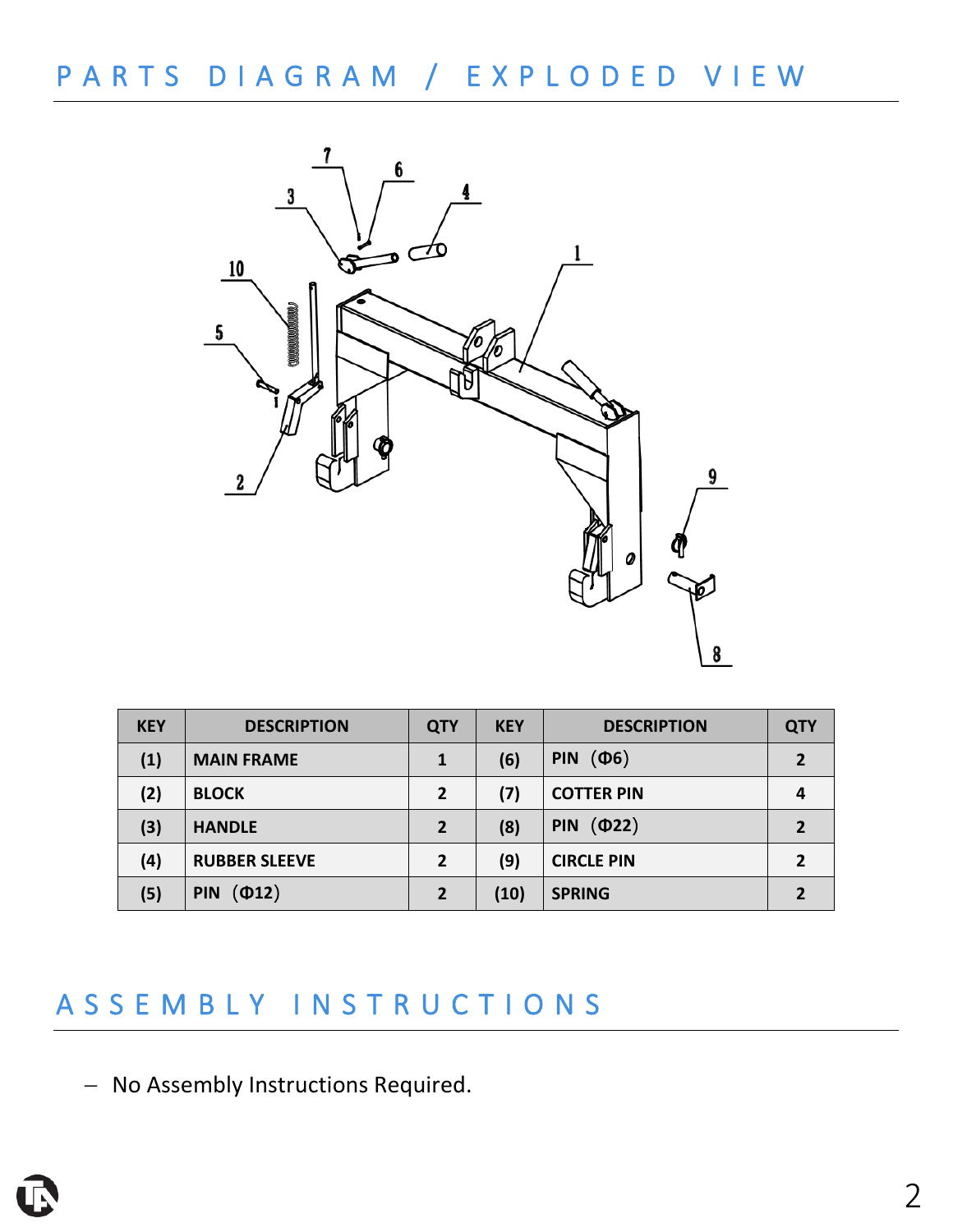# PARTS DIAGRAM / EXPLODED VIEW



| <b>KEY</b> | <b>DESCRIPTION</b>           | <b>QTY</b>     | <b>KEY</b> | <b>DESCRIPTION</b>        | <b>QTY</b> |
|------------|------------------------------|----------------|------------|---------------------------|------------|
| (1)        | <b>MAIN FRAME</b>            | 1              | (6)        | $(\Phi 6)$<br><b>PIN</b>  | 2          |
| (2)        | <b>BLOCK</b>                 | $\overline{2}$ | (7)        | <b>COTTER PIN</b>         | 4          |
| (3)        | <b>HANDLE</b>                | $\overline{2}$ | (8)        | $(\Phi$ 22)<br><b>PIN</b> |            |
| (4)        | <b>RUBBER SLEEVE</b>         | $\overline{2}$ | (9)        | <b>CIRCLE PIN</b>         |            |
| (5)        | $($ $\Phi$ 12)<br><b>PIN</b> | $\overline{2}$ | (10)       | <b>SPRING</b>             |            |

## ASSEMBLY INSTRUCTIONS

− No Assembly Instructions Required.